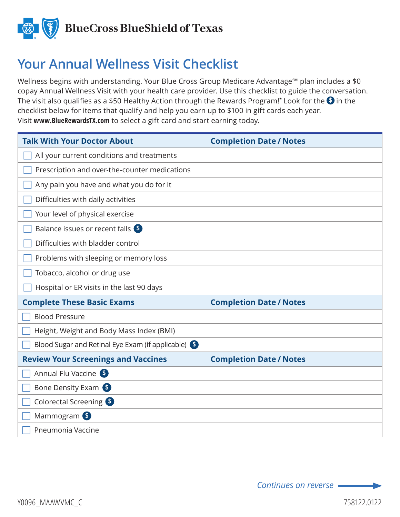

## **Your Annual Wellness Visit Checklist**

Wellness begins with understanding. Your Blue Cross Group Medicare Advantage<sup>sM</sup> plan includes a \$0 copay Annual Wellness Visit with your health care provider. Use this checklist to guide the conversation. The visit also qualifies as a \$50 Healthy Action through the Rewards Program! $^*$  Look for the  $\bullet$  in the checklist below for items that qualify and help you earn up to \$100 in gift cards each year. Visit **www.BlueRewardsTX.com** to select a gift card and start earning today.

| <b>Talk With Your Doctor About</b>                 | <b>Completion Date / Notes</b> |
|----------------------------------------------------|--------------------------------|
| All your current conditions and treatments         |                                |
| Prescription and over-the-counter medications      |                                |
| Any pain you have and what you do for it           |                                |
| Difficulties with daily activities                 |                                |
| Your level of physical exercise                    |                                |
| Balance issues or recent falls \$                  |                                |
| Difficulties with bladder control                  |                                |
| Problems with sleeping or memory loss              |                                |
| Tobacco, alcohol or drug use                       |                                |
| Hospital or ER visits in the last 90 days          |                                |
| <b>Complete These Basic Exams</b>                  | <b>Completion Date / Notes</b> |
| <b>Blood Pressure</b>                              |                                |
| Height, Weight and Body Mass Index (BMI)           |                                |
| Blood Sugar and Retinal Eye Exam (if applicable) S |                                |
| <b>Review Your Screenings and Vaccines</b>         | <b>Completion Date / Notes</b> |
| Annual Flu Vaccine S                               |                                |
| Bone Density Exam                                  |                                |
| Colorectal Screening 6                             |                                |
| Mammogram <sup>\$</sup>                            |                                |
| Pneumonia Vaccine                                  |                                |